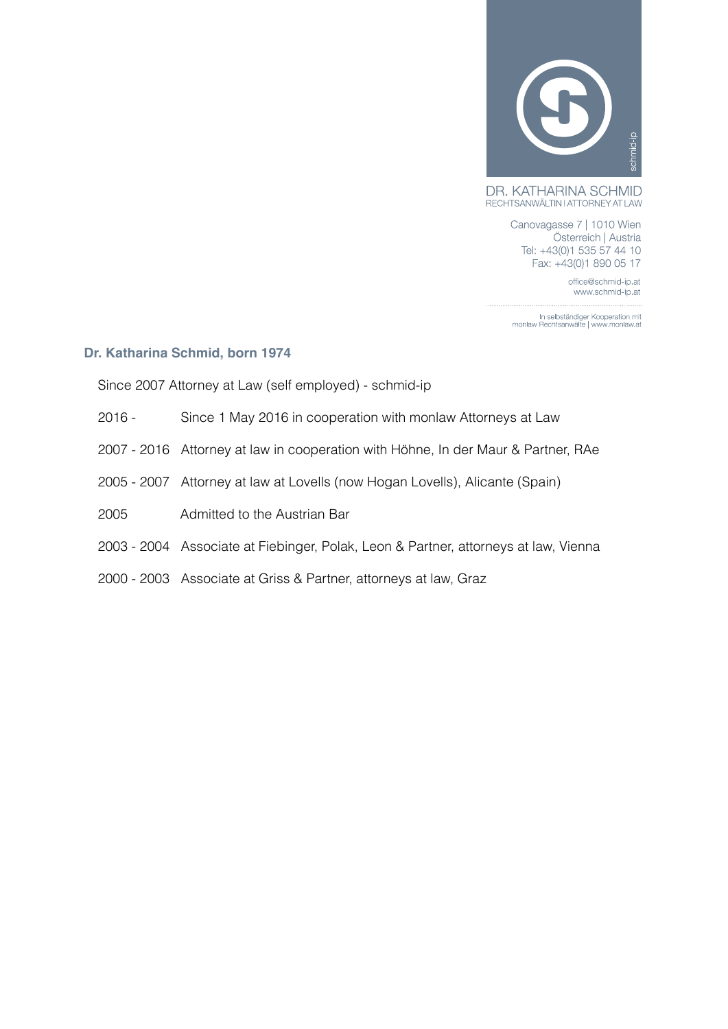

DR. KATHARINA SCHMID RECHTSANWÄLTIN I ATTORNEY AT LAW

> Canovagasse 7 | 1010 Wien Österreich | Austria Tel: +43(0)1 535 57 44 10 Fax: +43(0)1 890 05 17

> > office@schmid-ip.at www.schmid-ip.at

In selbständiger Kooperation mit<br>| monlaw Rechtsanwälte | www.monlaw.at

## **Dr. Katharina Schmid, born 1974**

Since 2007 Attorney at Law (self employed) - schmid-ip

- 2016 Since 1 May 2016 in cooperation with monlaw Attorneys at Law
- 2007 2016 Attorney at law in cooperation with Höhne, In der Maur & Partner, RAe
- 2005 2007 Attorney at law at Lovells (now Hogan Lovells), Alicante (Spain)
- 2005 Admitted to the Austrian Bar
- 2003 2004 Associate at Fiebinger, Polak, Leon & Partner, attorneys at law, Vienna
- 2000 2003 Associate at Griss & Partner, attorneys at law, Graz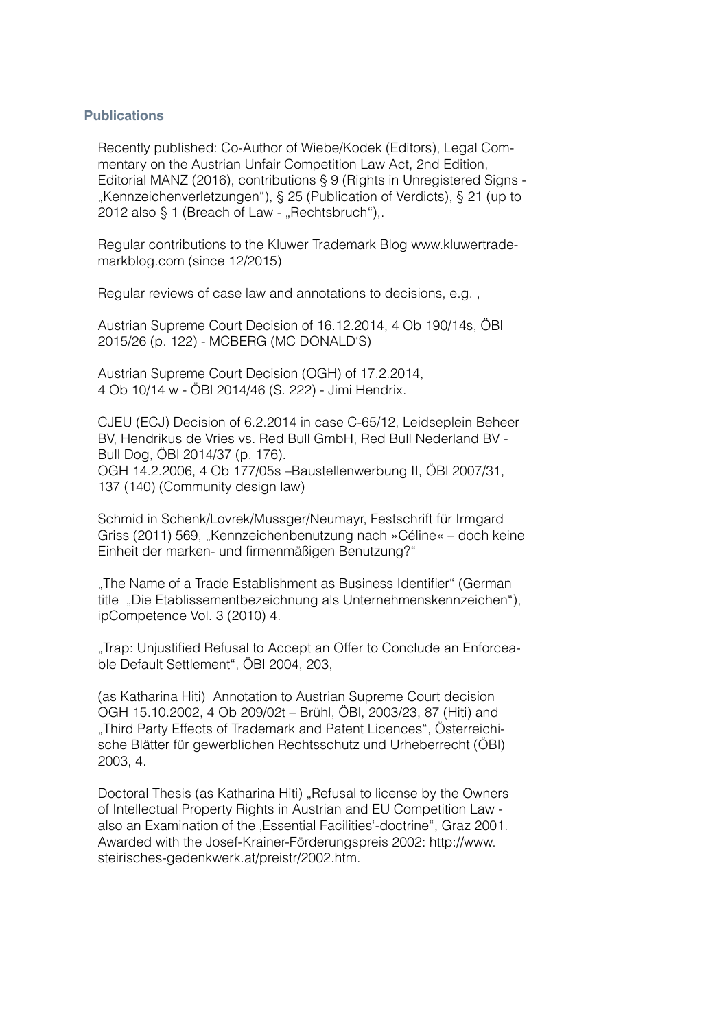## **Publications**

Recently published: Co-Author of Wiebe/Kodek (Editors), Legal Commentary on the Austrian Unfair Competition Law Act, 2nd Edition, Editorial MANZ (2016), contributions § 9 (Rights in Unregistered Signs - "Kennzeichenverletzungen"), § 25 (Publication of Verdicts), § 21 (up to 2012 also  $\S$  1 (Breach of Law - "Rechtsbruch"),.

Regular contributions to the Kluwer Trademark Blog www.kluwertrademarkblog.com (since 12/2015)

Regular reviews of case law and annotations to decisions, e.g. ,

Austrian Supreme Court Decision of 16.12.2014, 4 Ob 190/14s, ÖBl 2015/26 (p. 122) - MCBERG (MC DONALD'S)

Austrian Supreme Court Decision (OGH) of 17.2.2014, 4 Ob 10/14 w - ÖBl 2014/46 (S. 222) - Jimi Hendrix.

CJEU (ECJ) Decision of 6.2.2014 in case C-65/12, Leidseplein Beheer BV, Hendrikus de Vries vs. Red Bull GmbH, Red Bull Nederland BV - Bull Dog, ÖBl 2014/37 (p. 176). OGH 14.2.2006, 4 Ob 177/05s –Baustellenwerbung II, ÖBl 2007/31, 137 (140) (Community design law)

Schmid in Schenk/Lovrek/Mussger/Neumayr, Festschrift für Irmgard Griss (2011) 569, "Kennzeichenbenutzung nach »Céline« – doch keine Einheit der marken- und firmenmäßigen Benutzung?"

"The Name of a Trade Establishment as Business Identifier" (German title "Die Etablissementbezeichnung als Unternehmenskennzeichen"), ipCompetence Vol. 3 (2010) 4.

"Trap: Unjustified Refusal to Accept an Offer to Conclude an Enforceable Default Settlement", ÖBl 2004, 203,

(as Katharina Hiti) Annotation to Austrian Supreme Court decision OGH 15.10.2002, 4 Ob 209/02t – Brühl, ÖBl, 2003/23, 87 (Hiti) and "Third Party Effects of Trademark and Patent Licences", Österreichische Blätter für gewerblichen Rechtsschutz und Urheberrecht (ÖBl) 2003, 4.

Doctoral Thesis (as Katharina Hiti) "Refusal to license by the Owners of Intellectual Property Rights in Austrian and EU Competition Law also an Examination of the .Essential Facilities'-doctrine", Graz 2001. Awarded with the Josef-Krainer-Förderungspreis 2002: http://www. steirisches-gedenkwerk.at/preistr/2002.htm.